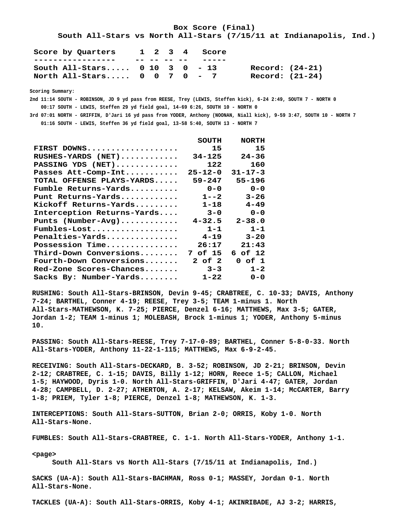**Box Score (Final) South All-Stars vs North All-Stars (7/15/11 at Indianapolis, Ind.) Score by Quarters 1 2 3 4 Score**

| ---------------                                             |             |  |       |                 |
|-------------------------------------------------------------|-------------|--|-------|-----------------|
| ----------------                                            | -- -- -- -- |  | ----- |                 |
| South All-Stars $0$ 10 3 0 - 13                             |             |  |       | Record: (24-21) |
| North All-Stars $0 \quad 0 \quad 7 \quad 0 \quad - \quad 7$ |             |  |       | Record: (21-24) |

 **Scoring Summary:**

 **2nd 11:14 SOUTH - ROBINSON, JD 9 yd pass from REESE, Trey (LEWIS, Steffen kick), 6-24 2:49, SOUTH 7 - NORTH 0 00:17 SOUTH - LEWIS, Steffen 29 yd field goal, 14-69 6:26, SOUTH 10 - NORTH 0 3rd 07:01 NORTH - GRIFFIN, D'Jari 16 yd pass from YODER, Anthony (NOONAN, Niall kick), 9-59 3:47, SOUTH 10 - NORTH 7**

 **01:16 SOUTH - LEWIS, Steffen 36 yd field goal, 13-58 5:40, SOUTH 13 - NORTH 7**

|                            | SOUTH         | <b>NORTH</b>  |
|----------------------------|---------------|---------------|
| FIRST DOWNS                | 15            | 15            |
| $RUSHES-YARDS$ (NET)       | $34 - 125$    | $24 - 36$     |
| PASSING YDS (NET)          | 122           | 160           |
| Passes Att-Comp-Int        | $25 - 12 - 0$ | $31 - 17 - 3$ |
| TOTAL OFFENSE PLAYS-YARDS  | $59 - 247$    | 55-196        |
| $Fumble$ Returns-Yards     | $0 - 0$       | $0 - 0$       |
| Punt Returns-Yards         | $1 - -2$      | $3 - 26$      |
| Kickoff Returns-Yards      | $1 - 18$      | $4 - 49$      |
| Interception Returns-Yards | $3 - 0$       | $0 - 0$       |
| Punts (Number-Avg)         | $4 - 32.5$    | $2 - 38.0$    |
| $Fumbles-Lost$             | $1 - 1$       | $1 - 1$       |
| Penalties-Yards            | $4 - 19$      | $3 - 20$      |
| Possession Time            | 26:17         | 21:43         |
| Third-Down Conversions     | 7 of 15       | 6 of 12       |
| $Fourth-Down$ Conversions  | 2 of 2        | 0 of 1        |
| Red-Zone Scores-Chances    | $3 - 3$       | $1 - 2$       |
| Sacks By: Number-Yards     | 1-22          | $0 - 0$       |

 **RUSHING: South All-Stars-BRINSON, Devin 9-45; CRABTREE, C. 10-33; DAVIS, Anthony 7-24; BARTHEL, Conner 4-19; REESE, Trey 3-5; TEAM 1-minus 1. North All-Stars-MATHEWSON, K. 7-25; PIERCE, Denzel 6-16; MATTHEWS, Max 3-5; GATER, Jordan 1-2; TEAM 1-minus 1; MOLEBASH, Brock 1-minus 1; YODER, Anthony 5-minus 10.**

 **PASSING: South All-Stars-REESE, Trey 7-17-0-89; BARTHEL, Conner 5-8-0-33. North All-Stars-YODER, Anthony 11-22-1-115; MATTHEWS, Max 6-9-2-45.**

 **RECEIVING: South All-Stars-DECKARD, B. 3-52; ROBINSON, JD 2-21; BRINSON, Devin 2-12; CRABTREE, C. 1-15; DAVIS, Billy 1-12; HORN, Reece 1-5; CALLON, Michael 1-5; HAYWOOD, Dyris 1-0. North All-Stars-GRIFFIN, D'Jari 4-47; GATER, Jordan 4-28; CAMPBELL, D. 2-27; ATHERTON, A. 2-17; KELSAW, Akeim 1-14; McCARTER, Barry 1-8; PRIEM, Tyler 1-8; PIERCE, Denzel 1-8; MATHEWSON, K. 1-3.**

 **INTERCEPTIONS: South All-Stars-SUTTON, Brian 2-0; ORRIS, Koby 1-0. North All-Stars-None.**

 **FUMBLES: South All-Stars-CRABTREE, C. 1-1. North All-Stars-YODER, Anthony 1-1.**

 **<page>**

 **South All-Stars vs North All-Stars (7/15/11 at Indianapolis, Ind.)**

 **SACKS (UA-A): South All-Stars-BACHMAN, Ross 0-1; MASSEY, Jordan 0-1. North All-Stars-None.**

 **TACKLES (UA-A): South All-Stars-ORRIS, Koby 4-1; AKINRIBADE, AJ 3-2; HARRIS,**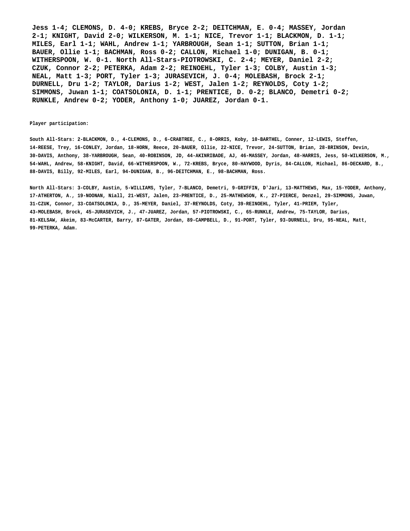**Jess 1-4; CLEMONS, D. 4-0; KREBS, Bryce 2-2; DEITCHMAN, E. 0-4; MASSEY, Jordan 2-1; KNIGHT, David 2-0; WILKERSON, M. 1-1; NICE, Trevor 1-1; BLACKMON, D. 1-1; MILES, Earl 1-1; WAHL, Andrew 1-1; YARBROUGH, Sean 1-1; SUTTON, Brian 1-1; BAUER, Ollie 1-1; BACHMAN, Ross 0-2; CALLON, Michael 1-0; DUNIGAN, B. 0-1; WITHERSPOON, W. 0-1. North All-Stars-PIOTROWSKI, C. 2-4; MEYER, Daniel 2-2; CZUK, Connor 2-2; PETERKA, Adam 2-2; REINOEHL, Tyler 1-3; COLBY, Austin 1-3; NEAL, Matt 1-3; PORT, Tyler 1-3; JURASEVICH, J. 0-4; MOLEBASH, Brock 2-1; DURNELL, Dru 1-2; TAYLOR, Darius 1-2; WEST, Jalen 1-2; REYNOLDS, Coty 1-2; SIMMONS, Juwan 1-1; COATSOLONIA, D. 1-1; PRENTICE, D. 0-2; BLANCO, Demetri 0-2; RUNKLE, Andrew 0-2; YODER, Anthony 1-0; JUAREZ, Jordan 0-1.**

#### **Player participation:**

 **South All-Stars: 2-BLACKMON, D., 4-CLEMONS, D., 6-CRABTREE, C., 8-ORRIS, Koby, 10-BARTHEL, Conner, 12-LEWIS, Steffen, 14-REESE, Trey, 16-CONLEY, Jordan, 18-HORN, Reece, 20-BAUER, Ollie, 22-NICE, Trevor, 24-SUTTON, Brian, 28-BRINSON, Devin, 30-DAVIS, Anthony, 38-YARBROUGH, Sean, 40-ROBINSON, JD, 44-AKINRIBADE, AJ, 46-MASSEY, Jordan, 48-HARRIS, Jess, 50-WILKERSON, M., 54-WAHL, Andrew, 58-KNIGHT, David, 66-WITHERSPOON, W., 72-KREBS, Bryce, 80-HAYWOOD, Dyris, 84-CALLON, Michael, 86-DECKARD, B., 88-DAVIS, Billy, 92-MILES, Earl, 94-DUNIGAN, B., 96-DEITCHMAN, E., 98-BACHMAN, Ross.**

 **North All-Stars: 3-COLBY, Austin, 5-WILLIAMS, Tyler, 7-BLANCO, Demetri, 9-GRIFFIN, D'Jari, 13-MATTHEWS, Max, 15-YODER, Anthony, 17-ATHERTON, A., 19-NOONAN, Niall, 21-WEST, Jalen, 23-PRENTICE, D., 25-MATHEWSON, K., 27-PIERCE, Denzel, 29-SIMMONS, Juwan, 31-CZUK, Connor, 33-COATSOLONIA, D., 35-MEYER, Daniel, 37-REYNOLDS, Coty, 39-REINOEHL, Tyler, 41-PRIEM, Tyler, 43-MOLEBASH, Brock, 45-JURASEVICH, J., 47-JUAREZ, Jordan, 57-PIOTROWSKI, C., 65-RUNKLE, Andrew, 75-TAYLOR, Darius, 81-KELSAW, Akeim, 83-McCARTER, Barry, 87-GATER, Jordan, 89-CAMPBELL, D., 91-PORT, Tyler, 93-DURNELL, Dru, 95-NEAL, Matt, 99-PETERKA, Adam.**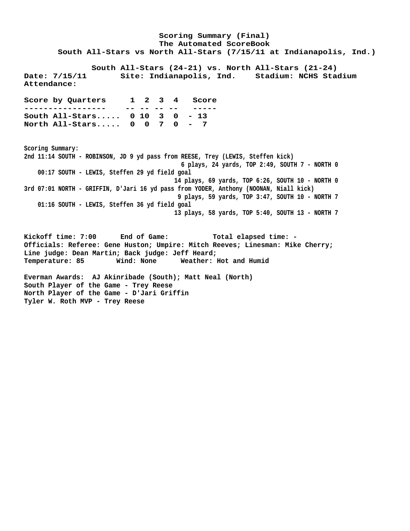**Scoring Summary (Final) The Automated ScoreBook South All-Stars vs North All-Stars (7/15/11 at Indianapolis, Ind.) South All-Stars (24-21) vs. North All-Stars (21-24) Date: 7/15/11 Site: Indianapolis, Ind. Stadium: NCHS Stadium Attendance: Score by Quarters 1 2 3 4 Score ----------------- -- -- -- -- ----- South All-Stars..... 0 10 3 0 - 13 North All-Stars..... 0 0 7 0 - 7 Scoring Summary: 2nd 11:14 SOUTH - ROBINSON, JD 9 yd pass from REESE, Trey (LEWIS, Steffen kick) 6 plays, 24 yards, TOP 2:49, SOUTH 7 - NORTH 0 00:17 SOUTH - LEWIS, Steffen 29 yd field goal 14 plays, 69 yards, TOP 6:26, SOUTH 10 - NORTH 0 3rd 07:01 NORTH - GRIFFIN, D'Jari 16 yd pass from YODER, Anthony (NOONAN, Niall kick) 9 plays, 59 yards, TOP 3:47, SOUTH 10 - NORTH 7 01:16 SOUTH - LEWIS, Steffen 36 yd field goal 13 plays, 58 yards, TOP 5:40, SOUTH 13 - NORTH 7 Kickoff time: 7:00 End of Game: Total elapsed time: - Officials: Referee: Gene Huston; Umpire: Mitch Reeves; Linesman: Mike Cherry; Line judge: Dean Martin; Back judge: Jeff Heard; Temperature: 85 Wind: None Weather: Hot and Humid**

**Everman Awards: AJ Akinribade (South); Matt Neal (North) South Player of the Game - Trey Reese North Player of the Game - D'Jari Griffin Tyler W. Roth MVP - Trey Reese**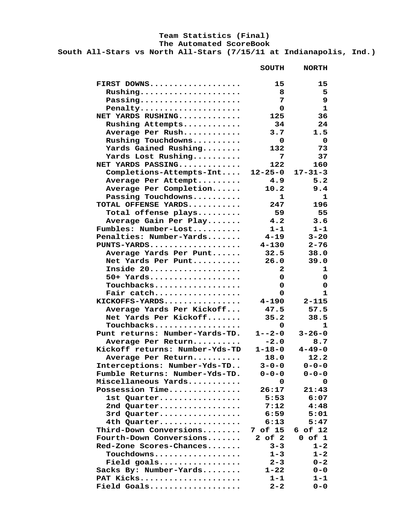# **Team Statistics (Final)**

 **The Automated ScoreBook**

 **South All-Stars vs North All-Stars (7/15/11 at Indianapolis, Ind.)**

|                                | <b>SOUTH</b>            | <b>NORTH</b>              |
|--------------------------------|-------------------------|---------------------------|
| FIRST DOWNS                    | 15                      | 15                        |
| Rushing                        | 8                       | 5                         |
| Passing                        | 7                       | $\boldsymbol{9}$          |
| Penalty                        | 0                       | $\mathbf{1}$              |
| NET YARDS RUSHING              | 125                     | 36                        |
| Rushing Attempts               | 34                      | 24                        |
| Average Per Rush               | 3.7                     | 1.5                       |
| Rushing Touchdowns             | $\overline{\mathbf{0}}$ | $\overline{\mathbf{0}}$   |
| Yards Gained Rushing           | 132                     | 73                        |
| Yards Lost Rushing             | 7                       | 37                        |
| NET YARDS PASSING              | 122                     | 160                       |
| Completions-Attempts-Int       | $12 - 25 - 0$           | $17 - 31 - 3$             |
| Average Per Attempt            | 4.9                     | 5.2                       |
| Average Per Completion         | 10.2                    | 9.4                       |
| Passing Touchdowns             | $\mathbf{1}$            | $\mathbf{1}$              |
| TOTAL OFFENSE YARDS            | 247                     | 196                       |
| Total offense plays            | 59                      | 55                        |
| Average Gain Per Play          | 4.2                     | 3.6                       |
| Fumbles: Number-Lost           | $1 - 1$                 | $1 - 1$                   |
| Penalties: Number-Yards        | 4-19                    | $3 - 20$                  |
| PUNTS-YARDS                    | 4-130                   | $2 - 76$                  |
| Average Yards Per Punt         | 32.5                    | 38.0                      |
| Net Yards Per Punt             | 26.0                    | 39.0                      |
| Inside 20                      | $\mathbf{2}$            | $\mathbf 1$               |
| $50+$ Yards                    | 0                       | $\mathbf 0$               |
| Touchbacks                     | 0                       | $\mathbf 0$               |
| Fair catch                     | 0                       | $\mathbf{1}$              |
| KICKOFFS-YARDS                 | 4-190                   | $2 - 115$                 |
| Average Yards Per Kickoff      | 47.5                    | 57.5                      |
| Net Yards Per Kickoff          | 35.2                    | 38.5                      |
| Touchbacks                     | $\mathbf{O}$            | $\mathbf{1}$              |
| Punt returns: Number-Yards-TD. | $1 - -2 - 0$            | $3 - 26 - 0$              |
| Average Per Return             | $-2.0$                  | 8.7                       |
| Kickoff returns: Number-Yds-TD |                         | $1 - 18 - 0$ $4 - 49 - 0$ |
| Average Per Return             | 18.0                    | 12.2                      |
| Interceptions: Number-Yds-TD   | $3 - 0 - 0$             | $0 - 0 - 0$               |
| Fumble Returns: Number-Yds-TD. | $0 - 0 - 0$             | $0 - 0 - 0$               |
| Miscellaneous Yards            | 0                       | 0                         |
| Possession Time                | 26:17                   | 21:43                     |
| 1st Quarter                    | 5:53                    | 6:07                      |
| 2nd Quarter                    | 7:12                    | 4:48                      |
| 3rd Quarter                    | 6:59                    | 5:01                      |
| 4th Quarter                    | 6:13                    | 5:47                      |
| Third-Down Conversions         | 7 of 15                 | 6 of 12                   |
| Fourth-Down Conversions        | $2$ of $2$              | $0$ of $1$                |
| Red-Zone Scores-Chances        | $3 - 3$                 | $1 - 2$                   |
| Touchdowns                     |                         |                           |
|                                | $1 - 3$                 | $1 - 2$                   |
| Field goals                    | $2 - 3$                 | $0 - 2$                   |
| Sacks By: Number-Yards         | $1 - 22$                | $0 - 0$                   |
| PAT Kicks                      | $1 - 1$                 | $1 - 1$                   |
| Field Goals                    | $2 - 2$                 | $0 - 0$                   |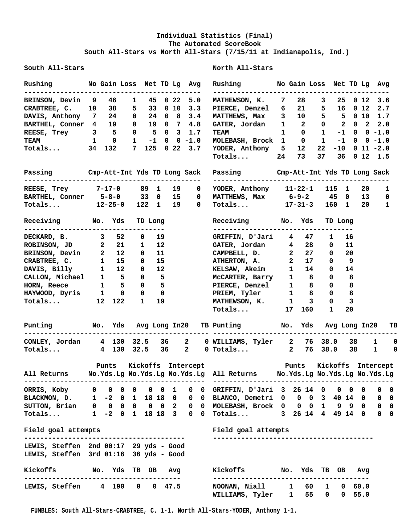### **Individual Statistics (Final) The Automated ScoreBook South All-Stars vs North All-Stars (7/15/11 at Indianapolis, Ind.)**

**South All-Stars North All-Stars**

## **Rushing No Gain Loss Net TD Lg Avg Rushing No Gain Loss Net TD Lg Avg -------------------------------------------- -------------------------------------------- BRINSON, Devin 9 46 1 45 0 22 5.0 MATHEWSON, K. 7 28 3 25 0 12 3.6 CRABTREE, C. 10 38 5 33 0 10 3.3 PIERCE, Denzel 6 21 5 16 0 12 2.7 DAVIS, Anthony 7 24 0 24 0 8 3.4 MATTHEWS, Max 3 10 5 5 0 10 1.7 BARTHEL, Conner 4 19 0 19 0 7 4.8 GATER, Jordan 1 2 0 2 0 2 2.0 REESE, Trey 3 5 0 5 0 3 1.7 TEAM 1 0 1 -1 0 0 -1.0**<br>TEAM 1 0 1 -1 0 0 -1.0 MOLEBASH, Brock 1 0 1 -1 0 0 -1.0 TEAM 1 0 1 -1 0 0 -1.0 MOLEBASH, Brock 1 **Totals... 34 132 7 125 0 22 3.7 YODER, Anthony 5 12 22 -10 0 11 -2.0 Totals... 24 73 37 36 0 12 1.5 Passing Cmp-Att-Int Yds TD Long Sack Passing Cmp-Att-Int Yds TD Long Sack -------------------------------------------- -------------------------------------------- REESE, Trey 7-17-0 89 1 19 0 YODER, Anthony 11-22-1 115 1 20 1 BARTHEL, Conner 5-8-0 33 0 15 0 MATTHEWS, Max 6-9-2 45 0 13 0 Totals... 12-25-0 122 1 19 0 Totals... 17-31-3 160 1 20 1 Receiving No. Yds TD Long Receiving No. Yds TD Long ----------------------------------- ----------------------------------- DECKARD, B.** 3 52 0 19<br>ROBINSON, JD 2 21 1 12 **ROBINSON, JD 2 21 1 12 GATER, Jordan 4 28 0 11**<br> **BRINSON, Devin 2 12 0 11 CAMPBELL, D. 2 27 0 20**<br> **CRABTREE, C. 1 15 0 15 ATHERTON, A. 2 17 0 9**<br> **DAVIS, Billy 1 12 0 12 KELSAW, Akeim 1 14 0 14**<br> **CALLON, Michael 1 5 0 BRINSON, Devin 2 12 0 11 CAMPBELL, D. 2 27 0 20 CRABTREE, C. 1 15 0 15 ATHERTON, A. 2 17 0 9 DAVIS, Billy 1 12 0 12 KELSAW, Akeim 1 14 0 14 CALLON, Michael 1 5 0 5 McCARTER, Barry 1 8 0 8 HORN, Reece 1 5 0 5 PIERCE, Denzel 1 8 0 8 HAYWOOD, Dyris 1 0 0 0 PRIEM, Tyler 1 8 0 8 Totals... 12 122 1 19 MATHEWSON, K. 1 3 0 3 Totals... 17 160 1 20 Punting No. Yds Avg Long In20 TB Punting No. Yds Avg Long In20 TB ---------------------------------------------- ---------------------------------------------- CONLEY, Jordan 4 130 32.5 36 2 0 WILLIAMS, Tyler 2 76 38.0 38 1 0 Totals... 4 130 32.5 36 2 0 Totals... 2 76 38.0 38 1 0 Punts Kickoffs Intercept Punts Kickoffs Intercept All Returns No.Yds.Lg No.Yds.Lg No.Yds.Lg All Returns No.Yds.Lg No.Yds.Lg No.Yds.Lg --------------------------------------------- --------------------------------------------- ORRIS, Koby 0 0 0 0 0 0 1 0 0 GRIFFIN, D'Jari 3 26 14 0 0 0 0 0 0 BLACKMON, D. 1 -2 0 1 18 18 0 0 0 BLANCO, Demetri 0 0 0 3 40 14 0 0 0 SUTTON, Brian 0 0 0 0 0 0 2 0 0 MOLEBASH, Brock 0 0 0 1 9 9 0 0 0 Totals... 1 -2 0 1 18 18 3 0 0 Totals... 3 26 14 4 49 14 0 0 0 Field goal attempts Field goal attempts ---------------------------------------- ---------------------------------------- LEWIS, Steffen 2nd 00:17 29 yds - Good LEWIS, Steffen 3rd 01:16 36 yds - Good Kickoffs No. Yds TB OB Avg Kickoffs No. Yds TB OB Avg --------------------------------------- --------------------------------------- LEWIS, Steffen 4 190 0 0 47.5 WILLIAMS, Tyler 1 55 0 0 55.0**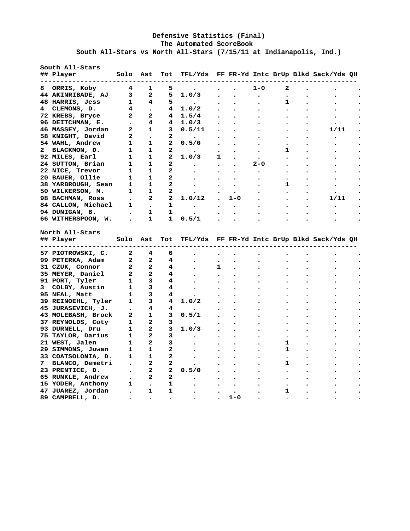### **Defensive Statistics (Final) The Automated ScoreBook South All-Stars vs North All-Stars (7/15/11 at Indianapolis, Ind.)**

| ## Player Solo Ast Tot TFL/Yds FF FR-Yd Intc BrUp Blkd Sack/Yds QH<br>------------------------------------                                                                                                                                                                                                                                                                                                                                                                                       |  |              |              |           |         |              |      |  |
|--------------------------------------------------------------------------------------------------------------------------------------------------------------------------------------------------------------------------------------------------------------------------------------------------------------------------------------------------------------------------------------------------------------------------------------------------------------------------------------------------|--|--------------|--------------|-----------|---------|--------------|------|--|
| 8 ORRIS, Koby 4 1                                                                                                                                                                                                                                                                                                                                                                                                                                                                                |  | 5            |              |           | $1 - 0$ | 2            |      |  |
|                                                                                                                                                                                                                                                                                                                                                                                                                                                                                                  |  |              |              |           |         |              |      |  |
|                                                                                                                                                                                                                                                                                                                                                                                                                                                                                                  |  |              |              |           |         | $\mathbf{1}$ |      |  |
|                                                                                                                                                                                                                                                                                                                                                                                                                                                                                                  |  |              |              |           |         |              |      |  |
|                                                                                                                                                                                                                                                                                                                                                                                                                                                                                                  |  |              |              |           |         |              |      |  |
|                                                                                                                                                                                                                                                                                                                                                                                                                                                                                                  |  |              |              |           |         |              |      |  |
|                                                                                                                                                                                                                                                                                                                                                                                                                                                                                                  |  |              |              |           |         |              | 1/11 |  |
|                                                                                                                                                                                                                                                                                                                                                                                                                                                                                                  |  |              |              |           |         | $\bullet$    |      |  |
|                                                                                                                                                                                                                                                                                                                                                                                                                                                                                                  |  |              |              |           |         |              |      |  |
|                                                                                                                                                                                                                                                                                                                                                                                                                                                                                                  |  |              |              |           |         | $\mathbf{1}$ |      |  |
|                                                                                                                                                                                                                                                                                                                                                                                                                                                                                                  |  |              |              |           |         |              |      |  |
|                                                                                                                                                                                                                                                                                                                                                                                                                                                                                                  |  |              |              | $\bullet$ | $2 - 0$ | $\bullet$    |      |  |
|                                                                                                                                                                                                                                                                                                                                                                                                                                                                                                  |  |              |              |           |         |              |      |  |
|                                                                                                                                                                                                                                                                                                                                                                                                                                                                                                  |  |              |              |           |         |              |      |  |
|                                                                                                                                                                                                                                                                                                                                                                                                                                                                                                  |  |              |              |           |         | $\mathbf{1}$ |      |  |
|                                                                                                                                                                                                                                                                                                                                                                                                                                                                                                  |  |              |              |           |         |              |      |  |
|                                                                                                                                                                                                                                                                                                                                                                                                                                                                                                  |  |              |              | $. 1 - 0$ |         |              | 1/11 |  |
|                                                                                                                                                                                                                                                                                                                                                                                                                                                                                                  |  |              |              |           |         |              |      |  |
|                                                                                                                                                                                                                                                                                                                                                                                                                                                                                                  |  |              |              |           |         |              |      |  |
|                                                                                                                                                                                                                                                                                                                                                                                                                                                                                                  |  |              |              |           |         |              |      |  |
|                                                                                                                                                                                                                                                                                                                                                                                                                                                                                                  |  |              |              |           |         |              |      |  |
|                                                                                                                                                                                                                                                                                                                                                                                                                                                                                                  |  |              |              |           |         |              |      |  |
|                                                                                                                                                                                                                                                                                                                                                                                                                                                                                                  |  |              |              |           |         |              |      |  |
|                                                                                                                                                                                                                                                                                                                                                                                                                                                                                                  |  |              |              |           |         |              |      |  |
|                                                                                                                                                                                                                                                                                                                                                                                                                                                                                                  |  |              | $\mathbf{1}$ |           |         |              |      |  |
|                                                                                                                                                                                                                                                                                                                                                                                                                                                                                                  |  |              |              |           |         |              |      |  |
|                                                                                                                                                                                                                                                                                                                                                                                                                                                                                                  |  |              |              |           |         |              |      |  |
|                                                                                                                                                                                                                                                                                                                                                                                                                                                                                                  |  |              |              |           |         |              |      |  |
|                                                                                                                                                                                                                                                                                                                                                                                                                                                                                                  |  |              |              |           |         |              |      |  |
|                                                                                                                                                                                                                                                                                                                                                                                                                                                                                                  |  |              |              |           |         |              |      |  |
|                                                                                                                                                                                                                                                                                                                                                                                                                                                                                                  |  |              |              |           |         |              |      |  |
|                                                                                                                                                                                                                                                                                                                                                                                                                                                                                                  |  |              |              |           |         |              |      |  |
|                                                                                                                                                                                                                                                                                                                                                                                                                                                                                                  |  |              |              |           |         |              |      |  |
|                                                                                                                                                                                                                                                                                                                                                                                                                                                                                                  |  |              |              |           |         |              |      |  |
|                                                                                                                                                                                                                                                                                                                                                                                                                                                                                                  |  |              |              |           |         |              |      |  |
|                                                                                                                                                                                                                                                                                                                                                                                                                                                                                                  |  | $3^{\circ}$  |              |           |         | 1            |      |  |
|                                                                                                                                                                                                                                                                                                                                                                                                                                                                                                  |  | $\mathbf{2}$ |              |           |         | 1            |      |  |
|                                                                                                                                                                                                                                                                                                                                                                                                                                                                                                  |  |              |              |           |         |              |      |  |
|                                                                                                                                                                                                                                                                                                                                                                                                                                                                                                  |  |              |              |           |         | 1            |      |  |
|                                                                                                                                                                                                                                                                                                                                                                                                                                                                                                  |  |              |              |           |         | $\bullet$    |      |  |
| North All-Stars<br>## Player Solo Ast Tot TFL/Yds FF FR-Yd Intc BrUp Blkd Sack/Yds QH<br>57 PIOTROWSKI, C. 2 4 6<br>99 PETERKA, Adam 2 2 4<br>31 CZUK, Connor 2 2 2 4<br>35 MEYER, Daniel 2 2 4<br>35 MEYER, Daniel 2 2 4 .<br>91 PORT, Tyler 1 3 4 .<br>3 COLBY, Austin 1 3 4 .<br>95 NEAL, Matt 1 3 4 .<br>39 REINOEHL, Tyler 1 3 4 1.0/2<br>45 JURASEVICH, J. . 4 4 .<br>43 MOLEBASH, Brock 2 1 3 0.5/1<br>37 REYNOLDS, Coty 1 2 3 .<br>93 DUR<br>21 WEST, Jalen 1 2<br>29 SIMMONS, Juwan 1 1 |  |              |              |           |         |              |      |  |
| 33 COATSOLONIA, D. 1 1 2<br>7 BLANCO, Demetri . 2 2<br>23 PRENTICE, D. . 2 2 0.5/0<br>65 RUNKLE, Andrew . 2 2<br>15 YODER, Anthony 1 . 1 .<br>47 JUAREZ, Jordan . 1 1 .                                                                                                                                                                                                                                                                                                                          |  |              |              | $\bullet$ |         | 1            |      |  |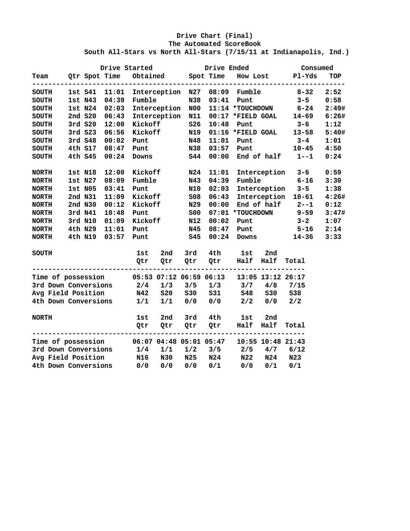### **Drive Chart (Final) The Automated ScoreBook South All-Stars vs North All-Stars (7/15/11 at Indianapolis, Ind.)**

|                                            |         |               | Drive Started              |         |                  | Drive Ended                                  |                                             |                   | Consumed                       |       |
|--------------------------------------------|---------|---------------|----------------------------|---------|------------------|----------------------------------------------|---------------------------------------------|-------------------|--------------------------------|-------|
| Team                                       |         |               |                            |         |                  | Qtr Spot Time Obtained Spot Time<br>-------- |                                             |                   | How Lost Pl-Yds<br>----------- | TOP   |
| SOUTH                                      |         |               |                            |         |                  |                                              | 1st S41 11:01 Interception N27 08:09 Fumble |                   | $8 - 32$                       | 2:52  |
| <b>SOUTH</b>                               | 1st N43 |               | 04:39 Fumble               |         | N38              | 03:41                                        | Punt                                        |                   | $3 - 5$                        | 0:58  |
| <b>SOUTH</b>                               |         | 1st N24 02:03 |                            |         | Interception N00 |                                              | 11:14 *TOUCHDOWN                            |                   | $6 - 24$                       | 2:49# |
| <b>SOUTH</b>                               |         |               | 2nd S20 06:43 Interception |         | N11              |                                              |                                             |                   | $00:17$ *FIELD GOAL 14-69      | 6:26# |
| <b>SOUTH</b>                               | 3rd S20 |               | 12:00 Kickoff              |         | S26              | 10:48                                        | Punt                                        |                   | $3 - 6$                        | 1:12  |
| <b>SOUTH</b>                               |         |               | 3rd S23 06:56 Kickoff      |         | N19              |                                              |                                             |                   | $01:16$ *FIELD GOAL $13-58$    | 5:40# |
| <b>SOUTH</b>                               | 3rd S48 | 00:02         | Punt                       |         | N48              | 11:01                                        | Punt                                        |                   | $3 - 4$                        | 1:01  |
| <b>SOUTH</b>                               |         | 4th S17 08:47 | Punt                       |         | N38              | 03:57                                        | Punt                                        |                   | $10 - 45$                      | 4:50  |
| <b>SOUTH</b>                               | 4th S45 | 00:24         | Downs                      |         | S44              | 00:00                                        |                                             |                   | End of half $1--1$             | 0:24  |
| <b>NORTH</b>                               | 1st N18 | 12:00         | Kickoff                    |         | N24              | 11:01                                        |                                             |                   | Interception 3-6               | 0:59  |
| <b>NORTH</b>                               | 1st N27 | 08:09         | Fumble                     |         | N43              | 04:39                                        |                                             |                   | $Fumble$ 6-16                  | 3:30  |
| <b>NORTH</b>                               | 1st N05 | 03:41         | Punt                       |         | N10              | 02:03                                        |                                             |                   | Interception 3-5               | 1:38  |
| <b>NORTH</b>                               | 2nd N31 |               | 11:09 Kickoff              |         | SO8              | 06:43                                        |                                             |                   | Interception 10-61             | 4:26# |
| <b>NORTH</b>                               | 2nd N30 | 00:12         | Kickoff                    |         | N29              | 00:00                                        |                                             |                   | End of half $2--1$             | 0:12  |
| <b>NORTH</b>                               | 3rd N41 | 10:48         | Punt                       |         | <b>SOO</b>       |                                              | 07:01 *TOUCHDOWN                            |                   | $9 - 59$                       | 3:47# |
| <b>NORTH</b>                               | 3rd N10 | 01:09         |                            | Kickoff | N12              | 00:02                                        |                                             | <b>Punt</b>       | $3 - 2$                        | 1:07  |
| <b>NORTH</b>                               | 4th N29 | 11:01         | Punt                       |         | N45              | 08:47                                        | Punt                                        |                   | $5 - 16$                       | 2:14  |
| <b>NORTH</b>                               | 4th N19 | 03:57         | Punt                       |         | <b>S45</b>       | 00:24                                        |                                             | <b>Downs</b>      | $14 - 36$                      | 3:33  |
| <b>SOUTH</b>                               |         |               | 1st                        | 2nd     | 3rd              | 4th                                          | 1st                                         | 2nd               |                                |       |
|                                            |         |               | Qtr                        | Qtr     |                  | Qtr Qtr                                      | Half Half                                   |                   | Total                          |       |
| Time of possession 05:53 07:12 06:59 06:13 |         |               |                            |         |                  |                                              |                                             | 13:05 13:12 26:17 |                                |       |
| 3rd Down Conversions 2/4                   |         |               |                            | 1/3     | 3/5              |                                              | $1/3$ $3/7$                                 | 4/8               | 7/15                           |       |
| Avg Field Position                         |         |               | N42                        | S20     | <b>S30</b>       | <b>S31</b>                                   | <b>S48</b>                                  | S30               | <b>S38</b>                     |       |
| 4th Down Conversions                       |         |               | 1/1                        | 1/1     | 0/0              | 0/0                                          | 2/2                                         | 0/0               | 2/2                            |       |
| <b>NORTH</b>                               |         |               | 1st                        | 2nd     | 3rd              | 4th                                          | 1st                                         | 2nd               |                                |       |
|                                            |         |               | Qtr                        | Qtr     | Qtr              | Qtr                                          | Half                                        | Half              | Total                          |       |
| Time of possession 06:07 04:48 05:01 05:47 |         |               |                            |         |                  |                                              |                                             | 10:55 10:48 21:43 |                                |       |
| 3rd Down Conversions                       |         |               | 1/4                        | 1/1     | 1/2              | 3/5                                          | 2/5                                         |                   | $4/7$ 6/12                     |       |
| Avg Field Position                         |         |               | N16                        | N30     | N25              | N24                                          | N22                                         | N24               | N23                            |       |
| 4th Down Conversions                       |         |               | 0/0                        | 0/0     | 0/0              | 0/1                                          | 0/0                                         | 0/1               | 0/1                            |       |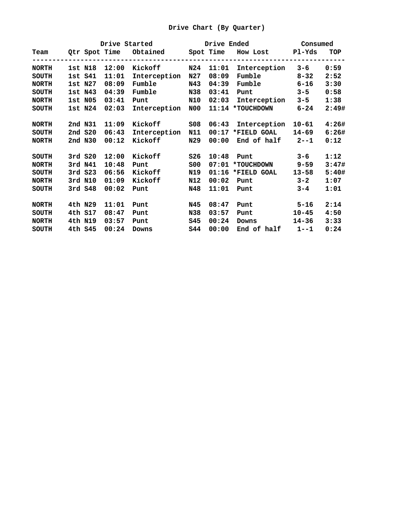|              |         |       |              |                 |       | Drive Started Drive Ended Consumed                    |                     |       |
|--------------|---------|-------|--------------|-----------------|-------|-------------------------------------------------------|---------------------|-------|
|              |         |       |              |                 |       | Team Qtr Spot Time Obtained Spot Time How Lost Pl-Yds | ------------------- | TOP   |
| <b>NORTH</b> | 1st N18 | 12:00 | Kickoff      | N24             | 11:01 | Interception                                          | $3 - 6$             | 0:59  |
| SOUTH        | 1st S41 | 11:01 | Interception | N27             | 08:09 | Fumble 8-32                                           |                     | 2:52  |
| <b>NORTH</b> | 1st N27 | 08:09 | Fumble       | N43             | 04:39 | Fumble 6-16                                           |                     | 3:30  |
| SOUTH        | 1st N43 | 04:39 | Fumble       | N38             | 03:41 | Punt                                                  | $3 - 5$             | 0:58  |
| <b>NORTH</b> | 1st N05 | 03:41 | Punt         | N10             | 02:03 | Interception                                          | $3 - 5$             | 1:38  |
| SOUTH        | 1st N24 | 02:03 | Interception | N00             |       | 11:14 *TOUCHDOWN                                      | $6 - 24$            | 2:49# |
| <b>NORTH</b> | 2nd N31 | 11:09 | Kickoff      | SO8             | 06:43 | Interception 10-61                                    |                     | 4:26# |
| <b>SOUTH</b> | 2nd S20 | 06:43 | Interception | N11             |       | $00:17$ *FIELD GOAL                                   | 14-69               | 6:26# |
| <b>NORTH</b> | 2nd N30 | 00:12 | Kickoff      | N29             | 00:00 | End of half $2--1$                                    |                     | 0:12  |
| <b>SOUTH</b> | 3rd S20 | 12:00 | Kickoff      | S26             | 10:48 | <b>Punt</b>                                           | $3 - 6$             | 1:12  |
| <b>NORTH</b> | 3rd N41 | 10:48 | Punt         | SO <sub>0</sub> |       | 07:01 *TOUCHDOWN 9-59                                 |                     | 3:47# |
| SOUTH        | 3rd S23 | 06:56 | Kickoff      | N19             |       | $01:16$ *FIELD GOAL                                   | 13-58               | 5:40# |
| <b>NORTH</b> | 3rd N10 | 01:09 | Kickoff      | N12             | 00:02 | <b>Punt</b>                                           | $3 - 2$             | 1:07  |
| <b>SOUTH</b> | 3rd S48 | 00:02 | Punt         | N48             | 11:01 | Punt                                                  | $3 - 4$             | 1:01  |
| <b>NORTH</b> | 4th N29 | 11:01 | Punt         | N45             | 08:47 | Punt 5-16                                             |                     | 2:14  |
| <b>SOUTH</b> | 4th S17 | 08:47 | Punt         | N38             | 03:57 | Punt                                                  | $10 - 45$           | 4:50  |
| <b>NORTH</b> | 4th N19 | 03:57 | Punt         | S45             | 00:24 | Downs                                                 | $14 - 36$           | 3:33  |
| <b>SOUTH</b> | 4th S45 | 00:24 | Downs        | <b>S44</b>      | 00:00 | End of half $1--1$                                    |                     | 0:24  |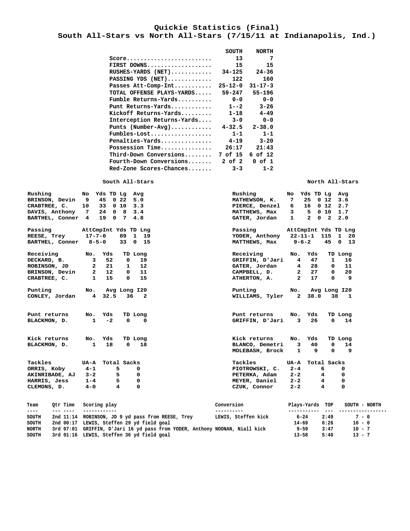#### **Quickie Statistics (Final) South All-Stars vs North All-Stars (7/15/11 at Indianapolis, Ind.)**

|                                                               | SOUTH         | <b>NORTH</b>  |
|---------------------------------------------------------------|---------------|---------------|
| $Score \dots \dots \dots \dots \dots \dots \dots \dots \dots$ | 13            | 7             |
| FIRST DOWNS                                                   | 15            | 15            |
| $RUSHES-YARDS$ $(NET)$                                        | $34 - 125$    | $24 - 36$     |
| PASSING YDS (NET)                                             | 122           | 160           |
| Passes Att-Comp-Int                                           | $25 - 12 - 0$ | $31 - 17 - 3$ |
| TOTAL OFFENSE PLAYS-YARDS                                     | $59 - 247$    | 55-196        |
| Fumble Returns-Yards                                          | $0 - 0$       | $0 - 0$       |
| Punt Returns-Yards                                            | $1 - -2$      | $3 - 26$      |
| Kickoff Returns-Yards                                         | $1 - 18$      | $4 - 49$      |
| Interception Returns-Yards                                    | $3 - 0$       | $0 - 0$       |
| Punts $(Number-Avq)$                                          | $4 - 32.5$    | $2 - 38.0$    |
| Fumbles-Lost                                                  | $1 - 1$       | $1 - 1$       |
| Penalties-Yards                                               | $4 - 19$      | $3 - 20$      |
| Possession Time                                               | 26:17         | 21:43         |
| Third-Down Conversions                                        | 7 of 15       | 6 of 12       |
| Fourth-Down Conversions                                       | 2 of 2        | $0$ of $1$    |
| Red-Zone Scores-Chances                                       | $3 - 3$       | $1 - 2$       |

**South All-Stars North All-Stars** North All-Stars

| Rushing<br>BRINSON, Devin 9 45 0 22<br>CRABTREE, C.<br>BARTHEL, Conner 4<br>Passing | No Yds TD Lg Avg<br>5.0<br>10 33 0 10 3.3<br>DAVIS, Anthony 7 24 0 8 3.4<br>19 0 7<br>4.8<br>AttCmpInt Yds TD Lng | Rushing<br>MATHEWSON, K. 7<br>PIERCE, Denzel<br>MATTHEWS, Max<br>GATER, Jordan<br>Passing | No Yds TD Lg Avg<br>25 0 12 3.6<br>$6$ 16 0 12 2.7<br>$3 \quad 5 \quad 0 \quad 10 \quad 1.7$<br>1 2 0 2 2.0<br>AttCmpInt Yds TD Lng |
|-------------------------------------------------------------------------------------|-------------------------------------------------------------------------------------------------------------------|-------------------------------------------------------------------------------------------|-------------------------------------------------------------------------------------------------------------------------------------|
| REESE, Trey                                                                         | $17 - 7 - 0$<br>89 1 19                                                                                           | YODER, Anthony                                                                            | 22-11-1 115 1 20                                                                                                                    |
| BARTHEL, Conner 8-5-0                                                               | 33 0 15                                                                                                           | MATTHEWS, Max                                                                             | 45 0 13<br>$9 - 6 - 2$                                                                                                              |
| Receiving                                                                           | Yds<br>No.<br>TD Long                                                                                             | Receiving                                                                                 | Yds<br>No.<br>TD Long                                                                                                               |
| DECKARD, B.                                                                         | 52<br>19<br>$\mathbf{3}$<br>$\mathbf 0$                                                                           | GRIFFIN, D'Jari 4                                                                         | 47<br>16<br>$\mathbf{1}$                                                                                                            |
| ROBINSON, JD                                                                        | 12<br>$2\quad 21$<br>$\mathbf{1}$                                                                                 | GATER, Jordan                                                                             | 11<br>28<br>$4\degree$<br>0                                                                                                         |
| BRINSON, Devin                                                                      | $2 \quad 12$<br>$\mathbf{0}$<br>11                                                                                | CAMPBELL, D.                                                                              | 2 27<br>$\mathbf 0$<br>20                                                                                                           |
| CRABTREE, C.                                                                        | $\mathbf 1$<br>15<br>$\Omega$<br>15                                                                               | ATHERTON, A.                                                                              | $2 \quad 17$<br>9<br>0                                                                                                              |
| Punting                                                                             | Avg Long I20<br>No.                                                                                               | Punting                                                                                   | No.<br>Avg Long I20                                                                                                                 |
| CONLEY, Jordan                                                                      | 4, 32.5<br>36<br>$\overline{\phantom{a}}$                                                                         | WILLIAMS, Tyler                                                                           | $\mathbf{2}$<br>38.0<br>38<br>$\mathbf{1}$                                                                                          |
| Punt returns                                                                        | Yds<br>TD Long<br>No.                                                                                             | Punt returns                                                                              | No.<br>Yds<br>TD Long                                                                                                               |
| BLACKMON, D.                                                                        | $-2$<br>$\mathbf{1}$<br>0<br>0                                                                                    | GRIFFIN, D'Jari                                                                           | 26<br>3<br>0<br>14                                                                                                                  |
| Kick returns                                                                        | Yds<br>No.<br>TD Long                                                                                             | Kick returns                                                                              | No.<br>Yds<br>TD Long                                                                                                               |
| BLACKMON, D.                                                                        | 18<br>18<br>$\mathbf{1}$<br>0                                                                                     | BLANCO, Demetri                                                                           | 40<br>14<br>3<br>0                                                                                                                  |
|                                                                                     |                                                                                                                   | MOLEBASH, Brock                                                                           | 9<br>- 9<br>$\Omega$<br>$\mathbf{1}$                                                                                                |
| Tackles                                                                             | UA-A<br>Total Sacks                                                                                               | Tackles                                                                                   | UA-A<br>Total Sacks                                                                                                                 |
| ORRIS, Koby                                                                         | 5<br>$4 - 1$<br>0                                                                                                 | PIOTROWSKI, C.                                                                            | 6<br>$2 - 4$<br>0                                                                                                                   |
| AKINRIBADE, AJ                                                                      | 5<br>$3 - 2$<br>0                                                                                                 | PETERKA, Adam                                                                             | $2 - 2$<br>0<br>4                                                                                                                   |
| HARRIS, Jess                                                                        | 5<br>$1 - 4$<br>0                                                                                                 | MEYER, Daniel                                                                             | $2-2$<br>4<br>0                                                                                                                     |
| CLEMONS, D.                                                                         | $\overline{4}$<br>0<br>$4 - 0$                                                                                    | CZUK, Connor                                                                              | $2-2$<br>4<br>0                                                                                                                     |
| Otr Time<br>Team                                                                    | Scoring play                                                                                                      | Conversion                                                                                | Plays-Yards TOP<br>SOUTH - NORTH                                                                                                    |
| <b><i><u>--- ----</u></i></b><br>----                                               | $- - - - -$                                                                                                       | ----------                                                                                | $6 - 24$<br>2:49<br>$7 - 0$                                                                                                         |
| SOUTH                                                                               | 2nd 11:14 ROBINSON, JD 9 yd pass from REESE, Trey                                                                 | LEWIS, Steffen kick                                                                       |                                                                                                                                     |

 **SOUTH 2nd 00:17 LEWIS, Steffen 29 yd field goal 14-69 6:26 10 - 0 NORTH 3rd 07:01 GRIFFIN, D'Jari 16 yd pass from YODER, Anthony NOONAN, Niall kick 9-59 3:47 10 - 7 SOUTH 3rd 01:16 LEWIS, Steffen 36 yd field goal 13-58 5:40 13 - 7**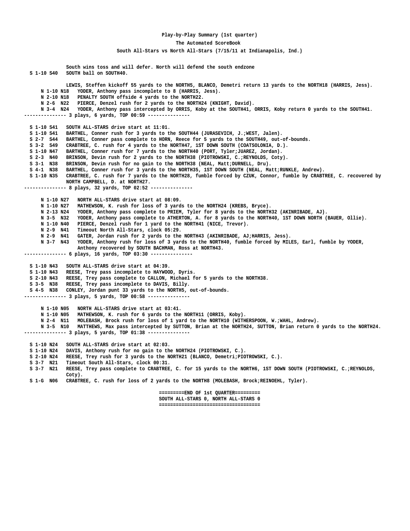#### **Play-by-Play Summary (1st quarter)**

#### **The Automated ScoreBook**

 **South All-Stars vs North All-Stars (7/15/11 at Indianapolis, Ind.)**

 **South wins toss and will defer. North will defend the south endzone S 1-10 S40 SOUTH ball on SOUTH40. LEWIS, Steffen kickoff 55 yards to the NORTH5, BLANCO, Demetri return 13 yards to the NORTH18 (HARRIS, Jess). N 1-10 N18 YODER, Anthony pass incomplete to 8 (HARRIS, Jess). N 2-10 N18 PENALTY SOUTH offside 4 yards to the NORTH22. N 2-6 N22 PIERCE, Denzel rush for 2 yards to the NORTH24 (KNIGHT, David). N 3-4 N24 YODER, Anthony pass intercepted by ORRIS, Koby at the SOUTH41, ORRIS, Koby return 0 yards to the SOUTH41. --------------- 3 plays, 6 yards, TOP 00:59 --------------- S 1-10 S41 SOUTH ALL-STARS drive start at 11:01. S 1-10 S41 BARTHEL, Conner rush for 3 yards to the SOUTH44 (JURASEVICH, J.;WEST, Jalen). S 2-7 S44 BARTHEL, Conner pass complete to HORN, Reece for 5 yards to the SOUTH49, out-of-bounds. S 3-2 S49 CRABTREE, C. rush for 4 yards to the NORTH47, 1ST DOWN SOUTH (COATSOLONIA, D.). S 1-10 N47 BARTHEL, Conner rush for 7 yards to the NORTH40 (PORT, Tyler;JUAREZ, Jordan). S 2-3 N40 BRINSON, Devin rush for 2 yards to the NORTH38 (PIOTROWSKI, C.;REYNOLDS, Coty). S 3-1 N38 BRINSON, Devin rush for no gain to the NORTH38 (NEAL, Matt;DURNELL, Dru).** BARTHEL, Conner rush for 3 yards to the NORTH35, 1ST DOWN SOUTH (NEAL, Matt;RUNKLE, Andrew).  **S 1-10 N35 CRABTREE, C. rush for 7 yards to the NORTH28, fumble forced by CZUK, Connor, fumble by CRABTREE, C. recovered by NORTH CAMPBELL, D. at NORTH27. --------------- 8 plays, 32 yards, TOP 02:52 --------------- N 1-10 N27 NORTH ALL-STARS drive start at 08:09.** MATHEWSON, K. rush for loss of 3 yards to the NORTH24 (KREBS, Bryce).  **N 2-13 N24 YODER, Anthony pass complete to PRIEM, Tyler for 8 yards to the NORTH32 (AKINRIBADE, AJ). N 3-5 N32 YODER, Anthony pass complete to ATHERTON, A. for 8 yards to the NORTH40, 1ST DOWN NORTH (BAUER, Ollie). N 1-10 N40 PIERCE, Denzel rush for 1 yard to the NORTH41 (NICE, Trevor). N 2-9 N41 Timeout North All-Stars, clock 05:29. N 2-9 N41 GATER, Jordan rush for 2 yards to the NORTH43 (AKINRIBADE, AJ;HARRIS, Jess). N 3-7 N43 YODER, Anthony rush for loss of 3 yards to the NORTH40, fumble forced by MILES, Earl, fumble by YODER, Anthony recovered by SOUTH BACHMAN, Ross at NORTH43. --------------- 6 plays, 16 yards, TOP 03:30 --------------- S 1-10 N43 SOUTH ALL-STARS drive start at 04:39. S 1-10 N43 REESE, Trey pass incomplete to HAYWOOD, Dyris. S 2-10 N43 REESE, Trey pass complete to CALLON, Michael for 5 yards to the NORTH38. S 3-5 N38 REESE, Trey pass incomplete to DAVIS, Billy. S 4-5 N38 CONLEY, Jordan punt 33 yards to the NORTH5, out-of-bounds. --------------- 3 plays, 5 yards, TOP 00:58 --------------- N 1-10 N05 NORTH ALL-STARS drive start at 03:41. N 1-10 N05 MATHEWSON, K. rush for 6 yards to the NORTH11 (ORRIS, Koby). N 2-4 N11 MOLEBASH, Brock rush for loss of 1 yard to the NORTH10 (WITHERSPOON, W.;WAHL, Andrew). N 3-5 N10 MATTHEWS, Max pass intercepted by SUTTON, Brian at the NORTH24, SUTTON, Brian return 0 yards to the NORTH24. --------------- 3 plays, 5 yards, TOP 01:38 --------------- S 1-10 N24 SOUTH ALL-STARS drive start at 02:03.** DAVIS, Anthony rush for no gain to the NORTH24 (PIOTROWSKI, C.).  **S 2-10 N24 REESE, Trey rush for 3 yards to the NORTH21 (BLANCO, Demetri;PIOTROWSKI, C.). S 3-7 N21 Timeout South All-Stars, clock 00:31. S 3-7 N21 REESE, Trey pass complete to CRABTREE, C. for 15 yards to the NORTH6, 1ST DOWN SOUTH (PIOTROWSKI, C.;REYNOLDS, Coty). S 1-G N06 CRABTREE, C. rush for loss of 2 yards to the NORTH8 (MOLEBASH, Brock;REINOEHL, Tyler). =========END OF 1st QUARTER========= SOUTH ALL-STARS 0, NORTH ALL-STARS 0 ====================================**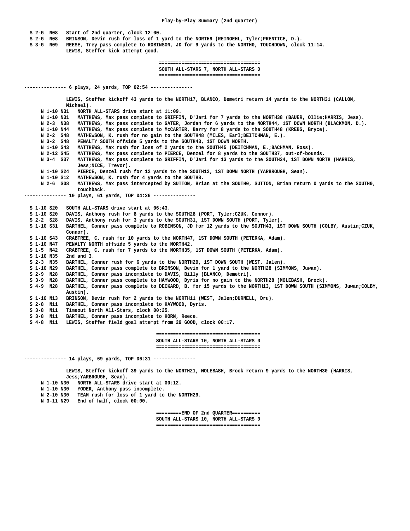**S 2-G N08 Start of 2nd quarter, clock 12:00.**

 **S 2-G N08 BRINSON, Devin rush for loss of 1 yard to the NORTH9 (REINOEHL, Tyler;PRENTICE, D.).**

 **S 3-G N09 REESE, Trey pass complete to ROBINSON, JD for 9 yards to the NORTH0, TOUCHDOWN, clock 11:14.**

 **LEWIS, Steffen kick attempt good.**

 **==================================== SOUTH ALL-STARS 7, NORTH ALL-STARS 0 ====================================**

**--------------- 6 plays, 24 yards, TOP 02:54 --------------- LEWIS, Steffen kickoff 43 yards to the NORTH17, BLANCO, Demetri return 14 yards to the NORTH31 (CALLON, Michael). N 1-10 N31 NORTH ALL-STARS drive start at 11:09. N 1-10 N31 MATTHEWS, Max pass complete to GRIFFIN, D'Jari for 7 yards to the NORTH38 (BAUER, Ollie;HARRIS, Jess). N 2-3 N38 MATTHEWS, Max pass complete to GATER, Jordan for 6 yards to the NORTH44, 1ST DOWN NORTH (BLACKMON, D.). N 1-10 N44 MATTHEWS, Max pass complete to McCARTER, Barry for 8 yards to the SOUTH48 (KREBS, Bryce). N 2-2 S48 MATHEWSON, K. rush for no gain to the SOUTH48 (MILES, Earl;DEITCHMAN, E.). N 3-2 S48 PENALTY SOUTH offside 5 yards to the SOUTH43, 1ST DOWN NORTH. N 1-10 S43 MATTHEWS, Max rush for loss of 2 yards to the SOUTH45 (DEITCHMAN, E.;BACHMAN, Ross). N 2-12 S45 MATTHEWS, Max pass complete to PIERCE, Denzel for 8 yards to the SOUTH37, out-of-bounds. N 3-4 S37 MATTHEWS, Max pass complete to GRIFFIN, D'Jari for 13 yards to the SOUTH24, 1ST DOWN NORTH (HARRIS, Jess;NICE, Trevor). N 1-10 S24 PIERCE, Denzel rush for 12 yards to the SOUTH12, 1ST DOWN NORTH (YARBROUGH, Sean). N 1-10 S12 MATHEWSON, K. rush for 4 yards to the SOUTH8. N 2-6 S08 MATTHEWS, Max pass intercepted by SUTTON, Brian at the SOUTH0, SUTTON, Brian return 0 yards to the SOUTH0, touchback. --------------- 10 plays, 61 yards, TOP 04:26 --------------- S 1-10 S20 SOUTH ALL-STARS drive start at 06:43. S 1-10 S20 DAVIS, Anthony rush for 8 yards to the SOUTH28 (PORT, Tyler;CZUK, Connor). S 2-2 S28 DAVIS, Anthony rush for 3 yards to the SOUTH31, 1ST DOWN SOUTH (PORT, Tyler). S 1-10 S31 BARTHEL, Conner pass complete to ROBINSON, JD for 12 yards to the SOUTH43, 1ST DOWN SOUTH (COLBY, Austin;CZUK, Connor).**<br> **S 1-10 S43 CRABTREE** CRABTREE, C. rush for 10 yards to the NORTH47, 1ST DOWN SOUTH (PETERKA, Adam).  **S 1-10 N47 PENALTY NORTH offside 5 yards to the NORTH42.** CRABTREE, C. rush for 7 yards to the NORTH35, 1ST DOWN SOUTH (PETERKA, Adam).  **S 1-10 N35 2nd and 3. S 2-3 N35 BARTHEL, Conner rush for 6 yards to the NORTH29, 1ST DOWN SOUTH (WEST, Jalen).** BARTHEL, Conner pass complete to BRINSON, Devin for 1 yard to the NORTH28 (SIMMONS, Juwan).  **S 2-9 N28 BARTHEL, Conner pass incomplete to DAVIS, Billy (BLANCO, Demetri). S 3-9 N28 BARTHEL, Conner pass complete to HAYWOOD, Dyris for no gain to the NORTH28 (MOLEBASH, Brock). S 4-9 N28 BARTHEL, Conner pass complete to DECKARD, B. for 15 yards to the NORTH13, 1ST DOWN SOUTH (SIMMONS, Juwan;COLBY, Austin). S 1-10 N13 BRINSON, Devin rush for 2 yards to the NORTH11 (WEST, Jalen;DURNELL, Dru). S 2-8 N11 BARTHEL, Conner pass incomplete to HAYWOOD, Dyris. S 3-8 N11 Timeout North All-Stars, clock 00:25. S 3-8 N11 BARTHEL, Conner pass incomplete to HORN, Reece. S 4-8 N11 LEWIS, Steffen field goal attempt from 29 GOOD, clock 00:17. ===================================== SOUTH ALL-STARS 10, NORTH ALL-STARS 0 ===================================== --------------- 14 plays, 69 yards, TOP 06:31 ---------------**

 **LEWIS, Steffen kickoff 39 yards to the NORTH21, MOLEBASH, Brock return 9 yards to the NORTH30 (HARRIS, Jess;YARBROUGH, Sean).**

- **N 1-10 N30 NORTH ALL-STARS drive start at 00:12.**
- **N 1-10 N30 YODER, Anthony pass incomplete.**
- **N 2-10 N30 TEAM rush for loss of 1 yard to the NORTH29.**
- **N 3-11 N29 End of half, clock 00:00.**

 **=========END OF 2nd QUARTER========== SOUTH ALL-STARS 10, NORTH ALL-STARS 0 =====================================**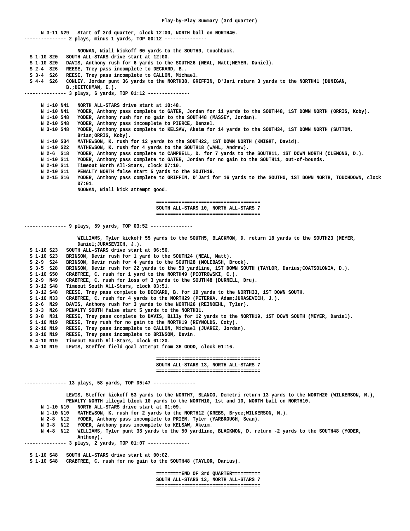**N 3-11 N29 Start of 3rd quarter, clock 12:00, NORTH ball on NORTH40. --------------- 2 plays, minus 1 yards, TOP 00:12 --------------- NOONAN, Niall kickoff 60 yards to the SOUTH0, touchback. S 1-10 S20 SOUTH ALL-STARS drive start at 12:00.** S 1-10 S20 DAVIS, Anthony rush for 6 yards to the SOUTH26 (NEAL, Matt;MEYER, Daniel).  **S 2-4 S26 REESE, Trey pass incomplete to DECKARD, B.. S 3-4 S26 REESE, Trey pass incomplete to CALLON, Michael. S 4-4 S26 CONLEY, Jordan punt 36 yards to the NORTH38, GRIFFIN, D'Jari return 3 yards to the NORTH41 (DUNIGAN, B.;DEITCHMAN, E.). --------------- 3 plays, 6 yards, TOP 01:12 --------------- N 1-10 N41 NORTH ALL-STARS drive start at 10:48. N 1-10 N41 YODER, Anthony pass complete to GATER, Jordan for 11 yards to the SOUTH48, 1ST DOWN NORTH (ORRIS, Koby). N 1-10 S48 YODER, Anthony rush for no gain to the SOUTH48 (MASSEY, Jordan). N 2-10 S48 YODER, Anthony pass incomplete to PIERCE, Denzel. N 3-10 S48 YODER, Anthony pass complete to KELSAW, Akeim for 14 yards to the SOUTH34, 1ST DOWN NORTH (SUTTON, Brian;ORRIS, Koby). N 1-10 S34 MATHEWSON, K. rush for 12 yards to the SOUTH22, 1ST DOWN NORTH (KNIGHT, David). N 1-10 S22 MATHEWSON, K. rush for 4 yards to the SOUTH18 (WAHL, Andrew). N 2-6 S18 YODER, Anthony pass complete to CAMPBELL, D. for 7 yards to the SOUTH11, 1ST DOWN NORTH (CLEMONS, D.). N 1-10 S11 YODER, Anthony pass complete to GATER, Jordan for no gain to the SOUTH11, out-of-bounds. N 2-10 S11 Timeout North All-Stars, clock 07:10. N 2-10 S11 PENALTY NORTH false start 5 yards to the SOUTH16. N 2-15 S16 YODER, Anthony pass complete to GRIFFIN, D'Jari for 16 yards to the SOUTH0, 1ST DOWN NORTH, TOUCHDOWN, clock 07:01. NOONAN, Niall kick attempt good. ===================================== SOUTH ALL-STARS 10, NORTH ALL-STARS 7 ===================================== --------------- 9 plays, 59 yards, TOP 03:52 --------------- WILLIAMS, Tyler kickoff 55 yards to the SOUTH5, BLACKMON, D. return 18 yards to the SOUTH23 (MEYER, Daniel;JURASEVICH, J.). S 1-10 S23 SOUTH ALL-STARS drive start at 06:56. S 1-10 S23 BRINSON, Devin rush for 1 yard to the SOUTH24 (NEAL, Matt). S 2-9 S24 BRINSON, Devin rush for 4 yards to the SOUTH28 (MOLEBASH, Brock). S 3-5 S28 BRINSON, Devin rush for 22 yards to the 50 yardline, 1ST DOWN SOUTH (TAYLOR, Darius;COATSOLONIA, D.). S 1-10 S50 CRABTREE, C. rush for 1 yard to the NORTH49 (PIOTROWSKI, C.). S 2-9 N49 CRABTREE, C. rush for loss of 3 yards to the SOUTH48 (DURNELL, Dru). S 3-12 S48 Timeout South All-Stars, clock 03:51. S 3-12 S48 REESE, Trey pass complete to DECKARD, B. for 19 yards to the NORTH33, 1ST DOWN SOUTH. S 1-10 N33 CRABTREE, C. rush for 4 yards to the NORTH29 (PETERKA, Adam;JURASEVICH, J.). S 2-6 N29 DAVIS, Anthony rush for 3 yards to the NORTH26 (REINOEHL, Tyler). S 3-3 N26 PENALTY SOUTH false start 5 yards to the NORTH31. S 3-8 N31 REESE, Trey pass complete to DAVIS, Billy for 12 yards to the NORTH19, 1ST DOWN SOUTH (MEYER, Daniel). S 1-10 N19 REESE, Trey rush for no gain to the NORTH19 (REYNOLDS, Coty).** REESE, Trey pass incomplete to CALLON, Michael (JUAREZ, Jordan).  **S 3-10 N19 REESE, Trey pass incomplete to BRINSON, Devin. S 4-10 N19 Timeout South All-Stars, clock 01:20. S 4-10 N19 LEWIS, Steffen field goal attempt from 36 GOOD, clock 01:16. ===================================== SOUTH ALL-STARS 13, NORTH ALL-STARS 7 ===================================== --------------- 13 plays, 58 yards, TOP 05:47 --------------- LEWIS, Steffen kickoff 53 yards to the NORTH7, BLANCO, Demetri return 13 yards to the NORTH20 (WILKERSON, M.),**

 **PENALTY NORTH illegal block 10 yards to the NORTH10, 1st and 10, NORTH ball on NORTH10. N 1-10 N10 NORTH ALL-STARS drive start at 01:09. N 1-10 N10 MATHEWSON, K. rush for 2 yards to the NORTH12 (KREBS, Bryce;WILKERSON, M.). N 2-8 N12 YODER, Anthony pass incomplete to PRIEM, Tyler (YARBROUGH, Sean). N 3-8 N12 YODER, Anthony pass incomplete to KELSAW, Akeim. N 4-8 N12 WILLIAMS, Tyler punt 38 yards to the 50 yardline, BLACKMON, D. return -2 yards to the SOUTH48 (YODER, Anthony). --------------- 3 plays, 2 yards, TOP 01:07 --------------- S 1-10 S48 SOUTH ALL-STARS drive start at 00:02. S 1-10 S48 CRABTREE, C. rush for no gain to the SOUTH48 (TAYLOR, Darius).**

> **=========END OF 3rd QUARTER========== SOUTH ALL-STARS 13, NORTH ALL-STARS 7 =====================================**